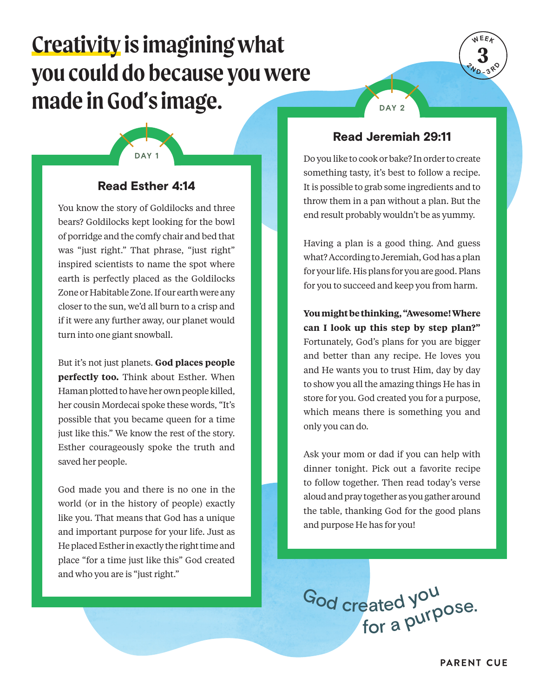# **Creativity is imagining what you could do because you were made in God's image.**

# Read Esther 4:14

**DAY 1**

You know the story of Goldilocks and three bears? Goldilocks kept looking for the bowl of porridge and the comfy chair and bed that was "just right." That phrase, "just right" inspired scientists to name the spot where earth is perfectly placed as the Goldilocks Zone or Habitable Zone. If our earth were any closer to the sun, we'd all burn to a crisp and if it were any further away, our planet would turn into one giant snowball.

But it's not just planets. **God places people perfectly too.** Think about Esther. When Haman plotted to have her own people killed, her cousin Mordecai spoke these words, "It's possible that you became queen for a time just like this." We know the rest of the story. Esther courageously spoke the truth and saved her people.

God made you and there is no one in the world (or in the history of people) exactly like you. That means that God has a unique and important purpose for your life. Just as He placed Esther in exactly the right time and place "for a time just like this" God created and who you are is "just right."

#### Read Jeremiah 29:11

**DAY 2**

**3 WEEK**

 $\sigma_{\Lambda}$ **1**  $\left( \frac{1}{3} \right)$ 

Do you like to cook or bake? In order to create something tasty, it's best to follow a recipe. It is possible to grab some ingredients and to throw them in a pan without a plan. But the end result probably wouldn't be as yummy.

Having a plan is a good thing. And guess what? According to Jeremiah, God has a plan for your life. His plans for you are good. Plans for you to succeed and keep you from harm.

**You might be thinking, "Awesome! Where can I look up this step by step plan?"** Fortunately, God's plans for you are bigger and better than any recipe. He loves you and He wants you to trust Him, day by day to show you all the amazing things He has in store for you. God created you for a purpose, which means there is something you and only you can do.

Ask your mom or dad if you can help with dinner tonight. Pick out a favorite recipe to follow together. Then read today's verse aloud and pray together as you gather around the table, thanking God for the good plans and purpose He has for you!

<sup>G</sup>o<sup>d</sup> <sup>c</sup>reate<sup>d</sup> <sup>y</sup>o<sup>u</sup> eateu <sup>,</sup><br>for a P<sup>urpose.</sup>